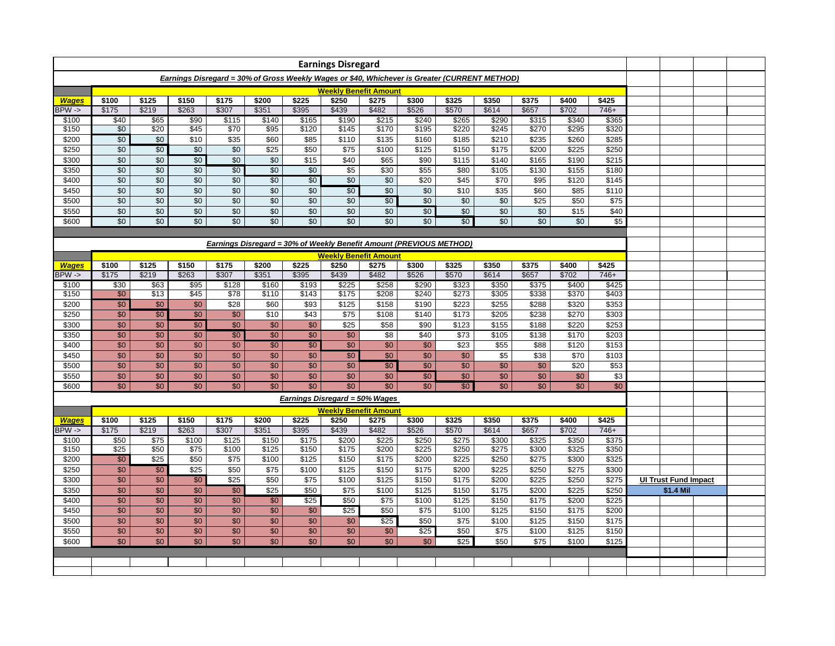|                   |                                    |                                                                     |                                                                                               |                                    |                   |                 | <b>Earnings Disregard</b>    |       |                 |       |       |       |       |       |  |                                                                                                                                                                                                                                                                                                                                                                                                                                                                                                                                                                                                                                                                                                                                                                                                                                                                                                                                                                                                                                                                                                                                                                                                                                                                                                                                                                                                                                                                                                                                                                                                                                                                                                                                                                                                                                                                                                                                                                                                                                                                                                                                                                                                                                                             |  |  |  |
|-------------------|------------------------------------|---------------------------------------------------------------------|-----------------------------------------------------------------------------------------------|------------------------------------|-------------------|-----------------|------------------------------|-------|-----------------|-------|-------|-------|-------|-------|--|-------------------------------------------------------------------------------------------------------------------------------------------------------------------------------------------------------------------------------------------------------------------------------------------------------------------------------------------------------------------------------------------------------------------------------------------------------------------------------------------------------------------------------------------------------------------------------------------------------------------------------------------------------------------------------------------------------------------------------------------------------------------------------------------------------------------------------------------------------------------------------------------------------------------------------------------------------------------------------------------------------------------------------------------------------------------------------------------------------------------------------------------------------------------------------------------------------------------------------------------------------------------------------------------------------------------------------------------------------------------------------------------------------------------------------------------------------------------------------------------------------------------------------------------------------------------------------------------------------------------------------------------------------------------------------------------------------------------------------------------------------------------------------------------------------------------------------------------------------------------------------------------------------------------------------------------------------------------------------------------------------------------------------------------------------------------------------------------------------------------------------------------------------------------------------------------------------------------------------------------------------------|--|--|--|
|                   |                                    |                                                                     | Earnings Disregard = 30% of Gross Weekly Wages or \$40, Whichever is Greater (CURRENT METHOD) |                                    |                   |                 |                              |       |                 |       |       |       |       |       |  |                                                                                                                                                                                                                                                                                                                                                                                                                                                                                                                                                                                                                                                                                                                                                                                                                                                                                                                                                                                                                                                                                                                                                                                                                                                                                                                                                                                                                                                                                                                                                                                                                                                                                                                                                                                                                                                                                                                                                                                                                                                                                                                                                                                                                                                             |  |  |  |
|                   |                                    |                                                                     |                                                                                               |                                    |                   |                 | <b>Weekly Benefit Amount</b> |       |                 |       |       |       |       |       |  |                                                                                                                                                                                                                                                                                                                                                                                                                                                                                                                                                                                                                                                                                                                                                                                                                                                                                                                                                                                                                                                                                                                                                                                                                                                                                                                                                                                                                                                                                                                                                                                                                                                                                                                                                                                                                                                                                                                                                                                                                                                                                                                                                                                                                                                             |  |  |  |
| <b>Wages</b>      | \$100                              | \$125                                                               | \$150                                                                                         | \$175                              | \$200             | \$225           | \$250                        | \$275 | \$300           | \$325 | \$350 | \$375 | \$400 | \$425 |  |                                                                                                                                                                                                                                                                                                                                                                                                                                                                                                                                                                                                                                                                                                                                                                                                                                                                                                                                                                                                                                                                                                                                                                                                                                                                                                                                                                                                                                                                                                                                                                                                                                                                                                                                                                                                                                                                                                                                                                                                                                                                                                                                                                                                                                                             |  |  |  |
| $BPW \rightarrow$ | \$175                              | \$219                                                               | \$263                                                                                         | \$307                              | \$351             | \$395           |                              |       |                 |       |       |       |       |       |  |                                                                                                                                                                                                                                                                                                                                                                                                                                                                                                                                                                                                                                                                                                                                                                                                                                                                                                                                                                                                                                                                                                                                                                                                                                                                                                                                                                                                                                                                                                                                                                                                                                                                                                                                                                                                                                                                                                                                                                                                                                                                                                                                                                                                                                                             |  |  |  |
| \$100             | \$40                               | \$65                                                                | $\sqrt{$90}$                                                                                  | \$115                              | \$140             | \$165           |                              |       |                 |       |       |       |       |       |  |                                                                                                                                                                                                                                                                                                                                                                                                                                                                                                                                                                                                                                                                                                                                                                                                                                                                                                                                                                                                                                                                                                                                                                                                                                                                                                                                                                                                                                                                                                                                                                                                                                                                                                                                                                                                                                                                                                                                                                                                                                                                                                                                                                                                                                                             |  |  |  |
| \$150             | $\overline{50}$                    | \$20                                                                | \$45                                                                                          | $\sqrt{$70}$                       | $\overline{$95}$  | \$120           |                              |       |                 |       |       |       |       |       |  |                                                                                                                                                                                                                                                                                                                                                                                                                                                                                                                                                                                                                                                                                                                                                                                                                                                                                                                                                                                                                                                                                                                                                                                                                                                                                                                                                                                                                                                                                                                                                                                                                                                                                                                                                                                                                                                                                                                                                                                                                                                                                                                                                                                                                                                             |  |  |  |
| \$200             | $\overline{50}$                    | \$0                                                                 | \$10                                                                                          | \$35                               | \$60              | \$85            |                              |       |                 |       |       |       |       |       |  |                                                                                                                                                                                                                                                                                                                                                                                                                                                                                                                                                                                                                                                                                                                                                                                                                                                                                                                                                                                                                                                                                                                                                                                                                                                                                                                                                                                                                                                                                                                                                                                                                                                                                                                                                                                                                                                                                                                                                                                                                                                                                                                                                                                                                                                             |  |  |  |
| \$250             | $\overline{60}$<br>$\overline{60}$ | \$0<br>$\overline{50}$                                              | \$0                                                                                           | $\overline{60}$                    | $\sqrt{$25}$      | \$50            |                              |       |                 |       |       |       |       |       |  |                                                                                                                                                                                                                                                                                                                                                                                                                                                                                                                                                                                                                                                                                                                                                                                                                                                                                                                                                                                                                                                                                                                                                                                                                                                                                                                                                                                                                                                                                                                                                                                                                                                                                                                                                                                                                                                                                                                                                                                                                                                                                                                                                                                                                                                             |  |  |  |
| \$300             | $\sqrt{6}$                         | \$0                                                                 | $\overline{50}$<br>\$0                                                                        | $\overline{50}$<br>$\overline{50}$ | $\sqrt{6}$<br>\$0 | \$15<br>\$0     |                              |       |                 |       |       |       |       |       |  |                                                                                                                                                                                                                                                                                                                                                                                                                                                                                                                                                                                                                                                                                                                                                                                                                                                                                                                                                                                                                                                                                                                                                                                                                                                                                                                                                                                                                                                                                                                                                                                                                                                                                                                                                                                                                                                                                                                                                                                                                                                                                                                                                                                                                                                             |  |  |  |
| \$350<br>\$400    | $\overline{50}$                    | $\overline{50}$                                                     | \$0                                                                                           | \$0                                | $\overline{50}$   | $\overline{50}$ |                              |       |                 |       |       |       |       |       |  |                                                                                                                                                                                                                                                                                                                                                                                                                                                                                                                                                                                                                                                                                                                                                                                                                                                                                                                                                                                                                                                                                                                                                                                                                                                                                                                                                                                                                                                                                                                                                                                                                                                                                                                                                                                                                                                                                                                                                                                                                                                                                                                                                                                                                                                             |  |  |  |
| \$450             | $\sqrt{6}$                         | $\sqrt{6}$                                                          | $\overline{60}$                                                                               | \$0                                | $\sqrt{6}$        | \$0             |                              |       |                 |       |       |       |       |       |  |                                                                                                                                                                                                                                                                                                                                                                                                                                                                                                                                                                                                                                                                                                                                                                                                                                                                                                                                                                                                                                                                                                                                                                                                                                                                                                                                                                                                                                                                                                                                                                                                                                                                                                                                                                                                                                                                                                                                                                                                                                                                                                                                                                                                                                                             |  |  |  |
| \$500             | $\overline{50}$                    | \$0                                                                 | \$0                                                                                           | \$0                                | \$0               | \$0             |                              |       |                 |       |       |       |       |       |  |                                                                                                                                                                                                                                                                                                                                                                                                                                                                                                                                                                                                                                                                                                                                                                                                                                                                                                                                                                                                                                                                                                                                                                                                                                                                                                                                                                                                                                                                                                                                                                                                                                                                                                                                                                                                                                                                                                                                                                                                                                                                                                                                                                                                                                                             |  |  |  |
| \$550             | \$0                                | \$0                                                                 | \$0                                                                                           | \$0                                | \$0               | \$0             |                              |       |                 |       |       |       |       |       |  |                                                                                                                                                                                                                                                                                                                                                                                                                                                                                                                                                                                                                                                                                                                                                                                                                                                                                                                                                                                                                                                                                                                                                                                                                                                                                                                                                                                                                                                                                                                                                                                                                                                                                                                                                                                                                                                                                                                                                                                                                                                                                                                                                                                                                                                             |  |  |  |
| \$600             | \$0                                | \$0                                                                 | \$0                                                                                           | \$0                                | \$0               | \$0             |                              |       |                 |       |       |       |       |       |  |                                                                                                                                                                                                                                                                                                                                                                                                                                                                                                                                                                                                                                                                                                                                                                                                                                                                                                                                                                                                                                                                                                                                                                                                                                                                                                                                                                                                                                                                                                                                                                                                                                                                                                                                                                                                                                                                                                                                                                                                                                                                                                                                                                                                                                                             |  |  |  |
|                   |                                    |                                                                     |                                                                                               |                                    |                   |                 |                              |       |                 |       |       |       |       |       |  |                                                                                                                                                                                                                                                                                                                                                                                                                                                                                                                                                                                                                                                                                                                                                                                                                                                                                                                                                                                                                                                                                                                                                                                                                                                                                                                                                                                                                                                                                                                                                                                                                                                                                                                                                                                                                                                                                                                                                                                                                                                                                                                                                                                                                                                             |  |  |  |
|                   |                                    |                                                                     |                                                                                               |                                    |                   |                 |                              |       |                 |       |       |       |       |       |  |                                                                                                                                                                                                                                                                                                                                                                                                                                                                                                                                                                                                                                                                                                                                                                                                                                                                                                                                                                                                                                                                                                                                                                                                                                                                                                                                                                                                                                                                                                                                                                                                                                                                                                                                                                                                                                                                                                                                                                                                                                                                                                                                                                                                                                                             |  |  |  |
|                   |                                    | Earnings Disregard = 30% of Weekly Benefit Amount (PREVIOUS METHOD) |                                                                                               |                                    |                   |                 |                              |       |                 |       |       |       |       |       |  |                                                                                                                                                                                                                                                                                                                                                                                                                                                                                                                                                                                                                                                                                                                                                                                                                                                                                                                                                                                                                                                                                                                                                                                                                                                                                                                                                                                                                                                                                                                                                                                                                                                                                                                                                                                                                                                                                                                                                                                                                                                                                                                                                                                                                                                             |  |  |  |
| <b>Wages</b>      | \$100                              | \$125                                                               | \$150                                                                                         | \$175                              | \$200             | \$225           |                              |       |                 |       |       |       |       |       |  |                                                                                                                                                                                                                                                                                                                                                                                                                                                                                                                                                                                                                                                                                                                                                                                                                                                                                                                                                                                                                                                                                                                                                                                                                                                                                                                                                                                                                                                                                                                                                                                                                                                                                                                                                                                                                                                                                                                                                                                                                                                                                                                                                                                                                                                             |  |  |  |
| BPW ->            | \$175                              | \$219                                                               | \$263                                                                                         | \$307                              | \$351             | \$395           |                              |       |                 |       |       |       |       |       |  |                                                                                                                                                                                                                                                                                                                                                                                                                                                                                                                                                                                                                                                                                                                                                                                                                                                                                                                                                                                                                                                                                                                                                                                                                                                                                                                                                                                                                                                                                                                                                                                                                                                                                                                                                                                                                                                                                                                                                                                                                                                                                                                                                                                                                                                             |  |  |  |
| \$100             | \$30                               | \$63                                                                | \$95                                                                                          | \$128                              | \$160             | \$193           |                              |       |                 |       |       |       |       |       |  |                                                                                                                                                                                                                                                                                                                                                                                                                                                                                                                                                                                                                                                                                                                                                                                                                                                                                                                                                                                                                                                                                                                                                                                                                                                                                                                                                                                                                                                                                                                                                                                                                                                                                                                                                                                                                                                                                                                                                                                                                                                                                                                                                                                                                                                             |  |  |  |
| \$150             | $\overline{50}$                    | \$13                                                                | \$45                                                                                          | \$78                               | \$110             | \$143           | \$175                        | \$208 | \$240           | \$273 |       |       | \$370 |       |  |                                                                                                                                                                                                                                                                                                                                                                                                                                                                                                                                                                                                                                                                                                                                                                                                                                                                                                                                                                                                                                                                                                                                                                                                                                                                                                                                                                                                                                                                                                                                                                                                                                                                                                                                                                                                                                                                                                                                                                                                                                                                                                                                                                                                                                                             |  |  |  |
| \$200             | $\overline{50}$                    | \$0                                                                 | \$0                                                                                           | \$28                               | \$60              | \$93            | \$125                        | \$158 | \$190           | \$223 | \$255 | \$288 | \$320 | \$353 |  |                                                                                                                                                                                                                                                                                                                                                                                                                                                                                                                                                                                                                                                                                                                                                                                                                                                                                                                                                                                                                                                                                                                                                                                                                                                                                                                                                                                                                                                                                                                                                                                                                                                                                                                                                                                                                                                                                                                                                                                                                                                                                                                                                                                                                                                             |  |  |  |
| \$250             | \$0                                | $\overline{50}$                                                     | \$0                                                                                           | \$0                                | \$10              | \$43            | \$75                         | \$108 | \$140           | \$173 | \$205 | \$238 | \$270 | \$303 |  |                                                                                                                                                                                                                                                                                                                                                                                                                                                                                                                                                                                                                                                                                                                                                                                                                                                                                                                                                                                                                                                                                                                                                                                                                                                                                                                                                                                                                                                                                                                                                                                                                                                                                                                                                                                                                                                                                                                                                                                                                                                                                                                                                                                                                                                             |  |  |  |
| \$300             | \$0                                | \$0                                                                 | $\overline{50}$                                                                               | \$0                                | \$0               | \$0             | \$25                         | \$58  | \$90            | \$123 | \$155 | \$188 | \$220 | \$253 |  |                                                                                                                                                                                                                                                                                                                                                                                                                                                                                                                                                                                                                                                                                                                                                                                                                                                                                                                                                                                                                                                                                                                                                                                                                                                                                                                                                                                                                                                                                                                                                                                                                                                                                                                                                                                                                                                                                                                                                                                                                                                                                                                                                                                                                                                             |  |  |  |
| \$350             | \$0                                | \$0                                                                 | \$0                                                                                           | $\overline{50}$                    | \$0               | \$0             | \$0                          | \$8   | \$40            | \$73  | \$105 | \$138 | \$170 | \$203 |  |                                                                                                                                                                                                                                                                                                                                                                                                                                                                                                                                                                                                                                                                                                                                                                                                                                                                                                                                                                                                                                                                                                                                                                                                                                                                                                                                                                                                                                                                                                                                                                                                                                                                                                                                                                                                                                                                                                                                                                                                                                                                                                                                                                                                                                                             |  |  |  |
| \$400             | \$0                                | \$0                                                                 | \$0                                                                                           | \$0                                | $\overline{50}$   | $\overline{50}$ | \$0                          | \$0   | \$0             | \$23  | \$55  | \$88  | \$120 | \$153 |  |                                                                                                                                                                                                                                                                                                                                                                                                                                                                                                                                                                                                                                                                                                                                                                                                                                                                                                                                                                                                                                                                                                                                                                                                                                                                                                                                                                                                                                                                                                                                                                                                                                                                                                                                                                                                                                                                                                                                                                                                                                                                                                                                                                                                                                                             |  |  |  |
| \$450             | \$0                                | \$0                                                                 | \$0                                                                                           | \$0                                | \$0               | \$0             | $\overline{50}$              | \$0   | \$0             | \$0   | \$5   | \$38  | \$70  | \$103 |  |                                                                                                                                                                                                                                                                                                                                                                                                                                                                                                                                                                                                                                                                                                                                                                                                                                                                                                                                                                                                                                                                                                                                                                                                                                                                                                                                                                                                                                                                                                                                                                                                                                                                                                                                                                                                                                                                                                                                                                                                                                                                                                                                                                                                                                                             |  |  |  |
| \$500             | \$0                                | \$0                                                                 | \$0                                                                                           | \$0                                | \$0               | \$0             | \$0                          |       | \$0             | \$0   | \$0   | \$0   | \$20  | \$53  |  |                                                                                                                                                                                                                                                                                                                                                                                                                                                                                                                                                                                                                                                                                                                                                                                                                                                                                                                                                                                                                                                                                                                                                                                                                                                                                                                                                                                                                                                                                                                                                                                                                                                                                                                                                                                                                                                                                                                                                                                                                                                                                                                                                                                                                                                             |  |  |  |
| \$550             | \$0                                | \$0                                                                 | \$0                                                                                           | \$0                                | \$0               | \$0             | \$0                          | \$0   | $\overline{50}$ | \$0   | \$0   | \$0   | \$0   | \$3   |  |                                                                                                                                                                                                                                                                                                                                                                                                                                                                                                                                                                                                                                                                                                                                                                                                                                                                                                                                                                                                                                                                                                                                                                                                                                                                                                                                                                                                                                                                                                                                                                                                                                                                                                                                                                                                                                                                                                                                                                                                                                                                                                                                                                                                                                                             |  |  |  |
| \$600             | \$0                                | \$0                                                                 | \$0                                                                                           | \$0                                | \$0               | \$0             | \$0                          | \$0   | \$0             |       |       |       |       |       |  |                                                                                                                                                                                                                                                                                                                                                                                                                                                                                                                                                                                                                                                                                                                                                                                                                                                                                                                                                                                                                                                                                                                                                                                                                                                                                                                                                                                                                                                                                                                                                                                                                                                                                                                                                                                                                                                                                                                                                                                                                                                                                                                                                                                                                                                             |  |  |  |
|                   |                                    | <b>Earnings Disregard = 50% Wages</b>                               |                                                                                               |                                    |                   |                 |                              |       |                 |       |       |       |       |       |  | \$526<br>\$570<br>\$439<br>\$482<br>\$614<br>\$657<br>\$702<br>746+<br>\$190<br>\$215<br>\$240<br>\$265<br>\$290<br>\$315<br>\$340<br>\$365<br>\$245<br>\$270<br>\$320<br>$\overline{$145}$<br>\$170<br>\$220<br>\$295<br>\$195<br>\$110<br>\$135<br>\$160<br>\$185<br>\$210<br>\$285<br>\$235<br>\$260<br>\$250<br>\$75<br>\$100<br>\$125<br>\$150<br>\$175<br>\$200<br>\$225<br>\$215<br>\$40<br>\$65<br>\$90<br>\$115<br>\$140<br>\$165<br>\$190<br>\$5<br>\$55<br>\$155<br>\$180<br>\$30<br>\$80<br>\$105<br>\$130<br>\$0<br>\$0<br>\$20<br>\$45<br>\$70<br>\$95<br>\$145<br>\$120<br>$\overline{50}$<br>\$0<br>\$10<br>\$0<br>\$35<br>\$60<br>\$85<br>\$110<br>\$0<br>$\overline{50}$<br>\$0<br>\$0<br>\$0<br>\$25<br>\$50<br>\$75<br>\$0<br>\$0<br>$\overline{50}$<br>\$0<br>\$0<br>\$0<br>\$15<br>\$40<br>\$0<br>$\sqrt{$0}$<br>\$0<br>\$0<br>\$0<br>\$0<br>\$0<br>\$5<br><b>Weekly Benefit Amount</b><br>\$300<br>\$325<br>\$350<br>\$375<br>\$400<br>\$250<br>\$275<br>\$425<br>\$482<br>\$526<br>\$439<br>\$570<br>\$614<br>\$657<br>\$702<br>746+<br>\$323<br>\$425<br>\$225<br>\$258<br>\$290<br>\$350<br>\$375<br>\$400<br>\$305<br>\$403<br>\$338<br>$\overline{30}$<br>$\overline{50}$<br>\$0<br>\$0<br>\$0<br>\$0<br><b>Weekly Benefit Amount</b><br>\$275<br>\$300<br>\$325<br>\$350<br>\$375<br>\$250<br>\$400<br>\$425<br>\$482<br>\$526<br>\$439<br>\$570<br>\$614<br>\$657<br>\$702<br>$746+$<br>\$375<br>\$200<br>\$225<br>\$250<br>\$275<br>\$300<br>\$325<br>\$350<br>\$350<br>\$175<br>\$200<br>\$225<br>\$250<br>\$275<br>\$300<br>\$325<br>\$150<br>\$175<br>\$200<br>\$225<br>\$250<br>\$275<br>\$325<br>\$300<br>\$125<br>\$150<br>\$175<br>\$200<br>\$225<br>\$250<br>\$275<br>\$300<br>\$175<br>\$225<br>\$275<br>\$100<br>\$125<br>\$150<br>\$200<br>\$250<br><b>UI Trust Fund Impact</b><br>\$100<br>\$125<br>\$150<br>\$175<br>\$75<br>\$200<br>\$225<br>\$250<br>\$1.4 Mil<br>\$75<br>\$100<br>\$125<br>\$150<br>\$175<br>\$225<br>\$50<br>\$200<br>\$125<br>\$25<br>\$50<br>\$75<br>\$100<br>\$150<br>\$175<br>\$200<br>\$25<br>\$50<br>\$75<br>\$100<br>\$125<br>\$150<br>\$175<br>\$0<br>\$25<br>\$150<br>\$0<br>\$0<br>\$50<br>\$75<br>\$100<br>\$125<br>\$25<br>\$0<br>\$0<br>\$0<br>\$50<br>\$75<br>\$100<br>\$125 |  |  |  |
|                   |                                    |                                                                     |                                                                                               |                                    |                   |                 |                              |       |                 |       |       |       |       |       |  |                                                                                                                                                                                                                                                                                                                                                                                                                                                                                                                                                                                                                                                                                                                                                                                                                                                                                                                                                                                                                                                                                                                                                                                                                                                                                                                                                                                                                                                                                                                                                                                                                                                                                                                                                                                                                                                                                                                                                                                                                                                                                                                                                                                                                                                             |  |  |  |
| <b>Wages</b>      | \$100                              | \$125                                                               | \$150                                                                                         | \$175                              | \$200             | \$225           |                              |       |                 |       |       |       |       |       |  |                                                                                                                                                                                                                                                                                                                                                                                                                                                                                                                                                                                                                                                                                                                                                                                                                                                                                                                                                                                                                                                                                                                                                                                                                                                                                                                                                                                                                                                                                                                                                                                                                                                                                                                                                                                                                                                                                                                                                                                                                                                                                                                                                                                                                                                             |  |  |  |
| $BPW \rightarrow$ | \$175                              | \$219                                                               | \$263                                                                                         | \$307                              | \$351             | \$395           |                              |       |                 |       |       |       |       |       |  |                                                                                                                                                                                                                                                                                                                                                                                                                                                                                                                                                                                                                                                                                                                                                                                                                                                                                                                                                                                                                                                                                                                                                                                                                                                                                                                                                                                                                                                                                                                                                                                                                                                                                                                                                                                                                                                                                                                                                                                                                                                                                                                                                                                                                                                             |  |  |  |
| \$100             | \$50                               | \$75                                                                | \$100                                                                                         | \$125                              | \$150             | \$175           |                              |       |                 |       |       |       |       |       |  |                                                                                                                                                                                                                                                                                                                                                                                                                                                                                                                                                                                                                                                                                                                                                                                                                                                                                                                                                                                                                                                                                                                                                                                                                                                                                                                                                                                                                                                                                                                                                                                                                                                                                                                                                                                                                                                                                                                                                                                                                                                                                                                                                                                                                                                             |  |  |  |
| \$150             | $\sqrt{$25}$                       | \$50                                                                | $\sqrt{$75}$                                                                                  | \$100                              | \$125             | \$150           |                              |       |                 |       |       |       |       |       |  |                                                                                                                                                                                                                                                                                                                                                                                                                                                                                                                                                                                                                                                                                                                                                                                                                                                                                                                                                                                                                                                                                                                                                                                                                                                                                                                                                                                                                                                                                                                                                                                                                                                                                                                                                                                                                                                                                                                                                                                                                                                                                                                                                                                                                                                             |  |  |  |
| \$200             | \$0<br>\$0                         | \$25<br>$\overline{50}$                                             | \$50<br>\$25                                                                                  | \$75<br>\$50                       | \$100<br>\$75     | \$125           |                              |       |                 |       |       |       |       |       |  |                                                                                                                                                                                                                                                                                                                                                                                                                                                                                                                                                                                                                                                                                                                                                                                                                                                                                                                                                                                                                                                                                                                                                                                                                                                                                                                                                                                                                                                                                                                                                                                                                                                                                                                                                                                                                                                                                                                                                                                                                                                                                                                                                                                                                                                             |  |  |  |
| \$250<br>\$300    | \$0                                | \$0                                                                 | $\overline{50}$                                                                               | \$25                               | \$50              | \$100<br>\$75   |                              |       |                 |       |       |       |       |       |  |                                                                                                                                                                                                                                                                                                                                                                                                                                                                                                                                                                                                                                                                                                                                                                                                                                                                                                                                                                                                                                                                                                                                                                                                                                                                                                                                                                                                                                                                                                                                                                                                                                                                                                                                                                                                                                                                                                                                                                                                                                                                                                                                                                                                                                                             |  |  |  |
| \$350             | \$0                                | \$0                                                                 | \$0                                                                                           | \$0                                | \$25              | \$50            |                              |       |                 |       |       |       |       |       |  |                                                                                                                                                                                                                                                                                                                                                                                                                                                                                                                                                                                                                                                                                                                                                                                                                                                                                                                                                                                                                                                                                                                                                                                                                                                                                                                                                                                                                                                                                                                                                                                                                                                                                                                                                                                                                                                                                                                                                                                                                                                                                                                                                                                                                                                             |  |  |  |
| \$400             | $\overline{50}$                    | \$0                                                                 | \$0                                                                                           | \$0                                | $\overline{50}$   | $\sqrt{$25}$    |                              |       |                 |       |       |       |       |       |  |                                                                                                                                                                                                                                                                                                                                                                                                                                                                                                                                                                                                                                                                                                                                                                                                                                                                                                                                                                                                                                                                                                                                                                                                                                                                                                                                                                                                                                                                                                                                                                                                                                                                                                                                                                                                                                                                                                                                                                                                                                                                                                                                                                                                                                                             |  |  |  |
| \$450             | \$0                                | \$0                                                                 | \$0                                                                                           | \$0                                | \$0               | \$0             |                              |       |                 |       |       |       |       |       |  |                                                                                                                                                                                                                                                                                                                                                                                                                                                                                                                                                                                                                                                                                                                                                                                                                                                                                                                                                                                                                                                                                                                                                                                                                                                                                                                                                                                                                                                                                                                                                                                                                                                                                                                                                                                                                                                                                                                                                                                                                                                                                                                                                                                                                                                             |  |  |  |
| \$500             | $\overline{50}$                    | \$0                                                                 | \$0                                                                                           | \$0                                | \$0               | \$0             |                              |       |                 |       |       |       |       |       |  |                                                                                                                                                                                                                                                                                                                                                                                                                                                                                                                                                                                                                                                                                                                                                                                                                                                                                                                                                                                                                                                                                                                                                                                                                                                                                                                                                                                                                                                                                                                                                                                                                                                                                                                                                                                                                                                                                                                                                                                                                                                                                                                                                                                                                                                             |  |  |  |
| \$550             | \$0                                | \$0                                                                 | \$0                                                                                           | \$0                                | \$0               | \$0             |                              |       |                 |       |       |       |       |       |  |                                                                                                                                                                                                                                                                                                                                                                                                                                                                                                                                                                                                                                                                                                                                                                                                                                                                                                                                                                                                                                                                                                                                                                                                                                                                                                                                                                                                                                                                                                                                                                                                                                                                                                                                                                                                                                                                                                                                                                                                                                                                                                                                                                                                                                                             |  |  |  |
| \$600             | \$0                                | \$0                                                                 | \$0                                                                                           | \$0                                | \$0               | \$0             |                              |       |                 |       |       |       |       |       |  |                                                                                                                                                                                                                                                                                                                                                                                                                                                                                                                                                                                                                                                                                                                                                                                                                                                                                                                                                                                                                                                                                                                                                                                                                                                                                                                                                                                                                                                                                                                                                                                                                                                                                                                                                                                                                                                                                                                                                                                                                                                                                                                                                                                                                                                             |  |  |  |
|                   |                                    |                                                                     |                                                                                               |                                    |                   |                 |                              |       |                 |       |       |       |       |       |  |                                                                                                                                                                                                                                                                                                                                                                                                                                                                                                                                                                                                                                                                                                                                                                                                                                                                                                                                                                                                                                                                                                                                                                                                                                                                                                                                                                                                                                                                                                                                                                                                                                                                                                                                                                                                                                                                                                                                                                                                                                                                                                                                                                                                                                                             |  |  |  |
|                   |                                    |                                                                     |                                                                                               |                                    |                   |                 |                              |       |                 |       |       |       |       |       |  |                                                                                                                                                                                                                                                                                                                                                                                                                                                                                                                                                                                                                                                                                                                                                                                                                                                                                                                                                                                                                                                                                                                                                                                                                                                                                                                                                                                                                                                                                                                                                                                                                                                                                                                                                                                                                                                                                                                                                                                                                                                                                                                                                                                                                                                             |  |  |  |
|                   |                                    |                                                                     |                                                                                               |                                    |                   |                 |                              |       |                 |       |       |       |       |       |  |                                                                                                                                                                                                                                                                                                                                                                                                                                                                                                                                                                                                                                                                                                                                                                                                                                                                                                                                                                                                                                                                                                                                                                                                                                                                                                                                                                                                                                                                                                                                                                                                                                                                                                                                                                                                                                                                                                                                                                                                                                                                                                                                                                                                                                                             |  |  |  |
|                   |                                    |                                                                     |                                                                                               |                                    |                   |                 |                              |       |                 |       |       |       |       |       |  |                                                                                                                                                                                                                                                                                                                                                                                                                                                                                                                                                                                                                                                                                                                                                                                                                                                                                                                                                                                                                                                                                                                                                                                                                                                                                                                                                                                                                                                                                                                                                                                                                                                                                                                                                                                                                                                                                                                                                                                                                                                                                                                                                                                                                                                             |  |  |  |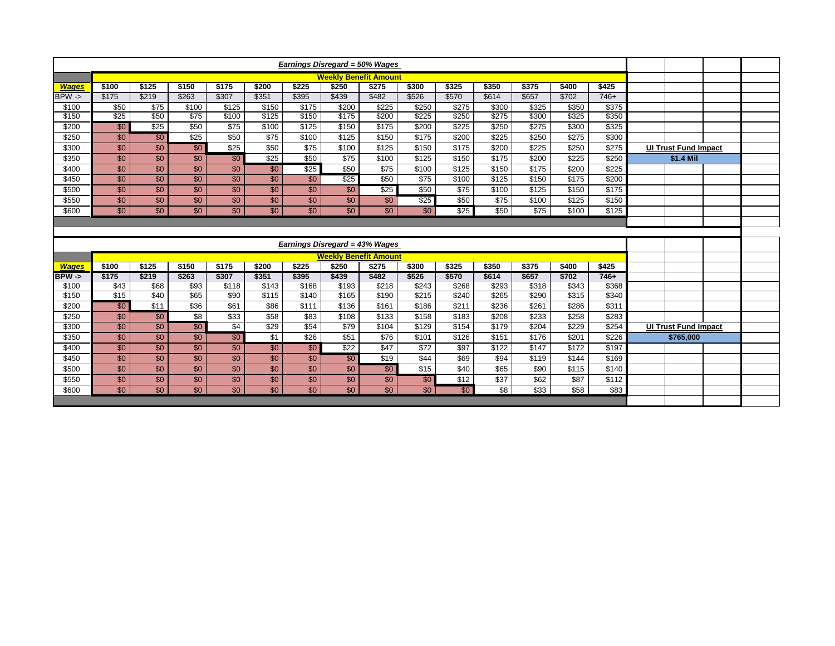| <b>Earnings Disregard = 50% Wages</b> |                 |                 |                  |                  |                  |                 |                                       |                 |                  |                   |                  |       |       |                    |                             |  |
|---------------------------------------|-----------------|-----------------|------------------|------------------|------------------|-----------------|---------------------------------------|-----------------|------------------|-------------------|------------------|-------|-------|--------------------|-----------------------------|--|
|                                       |                 |                 |                  |                  |                  |                 | <b>Weekly Benefit Amount</b>          |                 |                  |                   |                  |       |       |                    |                             |  |
| <b>Wages</b>                          | \$100           | \$125           | \$150            | \$175            | \$200            | \$225           | \$250                                 | \$275           | \$300            | \$325             | \$350            | \$375 | \$400 | \$425              |                             |  |
| $BPW \rightarrow$                     | \$175           | \$219           | \$263            | \$307            | \$351            | \$395           | \$439                                 | \$482           | \$526            | \$570             | \$614            | \$657 | \$702 | $746+$             |                             |  |
| \$100                                 | \$50            | \$75            | \$100            | \$125            | \$150            | \$175           | \$200                                 | \$225           | \$250            | \$275             | \$300            | \$325 | \$350 | \$375              |                             |  |
| \$150                                 | \$25            | \$50            | $\overline{$75}$ | \$100            | \$125            | \$150           | \$175                                 | \$200           | \$225            | \$250             | \$275            | \$300 | \$325 | \$350              |                             |  |
| \$200                                 | \$0             | \$25            | \$50             | \$75             | \$100            | \$125           | \$150                                 | \$175           | \$200            | $\overline{$}225$ | \$250            | \$275 | \$300 | \$325              |                             |  |
| \$250                                 | \$0             | \$0             | \$25             | \$50             | \$75             | \$100           | \$125                                 | \$150           | \$175            | \$200             | \$225            | \$250 | \$275 | \$300              |                             |  |
| \$300                                 | \$0             | \$0             | \$0              | \$25             | \$50             | \$75            | \$100                                 | \$125           | \$150            | \$175             | \$200            | \$225 | \$250 | \$275              | <b>UI Trust Fund Impact</b> |  |
| \$350                                 | $\overline{30}$ | \$0             | \$0              | $\sqrt{50}$      | \$25             | \$50            | \$75                                  | \$100           | \$125            | \$150             | \$175            | \$200 | \$225 | \$250              | \$1.4 Mil                   |  |
| \$400                                 | \$0             | $\overline{30}$ | $\overline{30}$  | $\overline{30}$  | \$0              | \$25            | \$50                                  | \$75            | \$100            | \$125             | \$150            | \$175 | \$200 | \$225              |                             |  |
| \$450                                 | \$0             | $\overline{30}$ | $\overline{30}$  | $\overline{30}$  | $\overline{30}$  | \$0             | \$25                                  | \$50            | \$75             | \$100             | \$125            | \$150 | \$175 | \$200              |                             |  |
| \$500                                 | \$0             | \$0             | \$0              | \$0              | \$0              | \$0             | $\overline{30}$                       | \$25            | \$50             | \$75              | \$100            | \$125 | \$150 | \$175              |                             |  |
| \$550                                 | \$0             | \$0             | $\overline{30}$  | $\overline{30}$  | $\overline{30}$  | $\overline{30}$ | $\overline{50}$                       | \$0             | \$25             | \$50              | \$75             | \$100 | \$125 | \$150              |                             |  |
| \$600                                 | $\overline{30}$ | \$0             | $\overline{30}$  | $\overline{30}$  | $\overline{30}$  | $\overline{30}$ | $\overline{30}$                       | $\overline{50}$ | $\overline{50}$  | \$25              | \$50             | \$75  | \$100 | $\overline{\$}125$ |                             |  |
|                                       |                 |                 |                  |                  |                  |                 |                                       |                 |                  |                   |                  |       |       |                    |                             |  |
|                                       |                 |                 |                  |                  |                  |                 |                                       |                 |                  |                   |                  |       |       |                    |                             |  |
|                                       |                 |                 |                  |                  |                  |                 | <b>Earnings Disregard = 43% Wages</b> |                 |                  |                   |                  |       |       |                    |                             |  |
|                                       |                 |                 |                  |                  |                  |                 | <b>Weekly Benefit Amount</b>          |                 |                  |                   |                  |       |       |                    |                             |  |
| <b>Wages</b>                          | \$100           | \$125           | \$150            | \$175            | \$200            | \$225           | \$250                                 | \$275           | \$300            | \$325             | \$350            | \$375 | \$400 | \$425              |                             |  |
| BPW ->                                | \$175           | \$219           | \$263            | \$307            | \$351            | \$395           | \$439                                 | \$482           | \$526            | \$570             | \$614            | \$657 | \$702 | 746+               |                             |  |
| \$100                                 | \$43            | \$68            | \$93             | \$118            | \$143            | \$168           | \$193                                 | \$218           | \$243            | \$268             | \$293            | \$318 | \$343 | \$368              |                             |  |
| \$150                                 | \$15            | \$40            | \$65             | \$90             | \$115            | \$140           | \$165                                 | \$190           | \$215            | \$240             | \$265            | \$290 | \$315 | \$340              |                             |  |
| \$200                                 | \$0             | \$11            | $\overline{$36}$ | \$61             | \$86             | \$111           | \$136                                 | \$161           | \$186            | \$211             | \$236            | \$261 | \$286 | \$311              |                             |  |
| \$250                                 | \$0             | $\sqrt{50}$     | $\overline{\$8}$ | $\overline{$33}$ | $\overline{$58}$ | \$83            | \$108                                 | \$133           | \$158            | \$183             | \$208            | \$233 | \$258 | \$283              |                             |  |
| \$300                                 | \$0             | \$0             | $\overline{50}$  | \$4              | \$29             | \$54            | \$79                                  | \$104           | \$129            | \$154             | \$179            | \$204 | \$229 | \$254              | <b>UI Trust Fund Impact</b> |  |
| \$350                                 | \$0             | \$0             | \$0              | \$0              | \$1              | \$26            | \$51                                  | \$76            | \$101            | \$126             | \$151            | \$176 | \$201 | \$226              | \$765,000                   |  |
|                                       |                 | \$0             | \$0              | \$0              | \$0              | $\overline{50}$ | \$22                                  | \$47            | \$72             | \$97              | \$122            | \$147 | \$172 | \$197              |                             |  |
| \$400                                 | \$0             |                 |                  |                  |                  |                 | \$0                                   | \$19            | $\sqrt{$44}$     | \$69              | \$94             | \$119 | \$144 | \$169              |                             |  |
| \$450                                 | $\overline{30}$ | $\overline{30}$ | $\overline{50}$  | $\overline{50}$  | $\overline{30}$  | $\overline{50}$ |                                       |                 |                  |                   |                  |       |       |                    |                             |  |
| \$500                                 | $\overline{30}$ | $\overline{30}$ | $\overline{30}$  | $\overline{50}$  | $\overline{60}$  | $\overline{50}$ | $\overline{50}$                       | \$0             | $\overline{$15}$ | \$40              | \$65             | \$90  | \$115 | \$140              |                             |  |
| \$550                                 | $\overline{30}$ | \$0             | \$0              | $\overline{50}$  | \$0              | $\overline{50}$ | $\overline{50}$                       | $\overline{50}$ | \$0              | $\sqrt{$12}$      | $\overline{$37}$ | \$62  | \$87  | \$112              |                             |  |
| \$600                                 | \$0             | \$0             | \$0              | \$0              | $\overline{30}$  | \$0             | $\overline{30}$                       | $\overline{30}$ | \$0              | \$0               | \$8              | \$33  | \$58  | \$83               |                             |  |